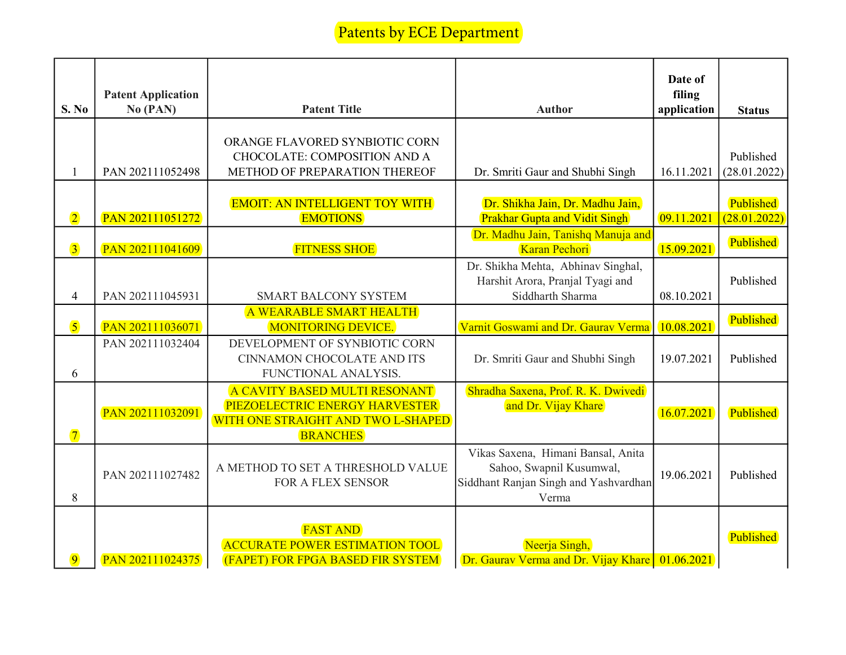## Patents by ECE Department

| S. No                   | <b>Patent Application</b><br>No (PAN) | <b>Patent Title</b>                                                                                                      | <b>Author</b>                                                                                                    | Date of<br>filing<br>application | <b>Status</b>             |
|-------------------------|---------------------------------------|--------------------------------------------------------------------------------------------------------------------------|------------------------------------------------------------------------------------------------------------------|----------------------------------|---------------------------|
| $\mathbf{1}$            | PAN 202111052498                      | ORANGE FLAVORED SYNBIOTIC CORN<br>CHOCOLATE: COMPOSITION AND A<br>METHOD OF PREPARATION THEREOF                          | Dr. Smriti Gaur and Shubhi Singh                                                                                 | 16.11.2021                       | Published<br>(28.01.2022) |
| $\overline{2}$          | PAN 202111051272                      | <b>EMOIT: AN INTELLIGENT TOY WITH</b><br><b>EMOTIONS</b>                                                                 | Dr. Shikha Jain, Dr. Madhu Jain,<br><b>Prakhar Gupta and Vidit Singh</b><br>Dr. Madhu Jain, Tanishq Manuja and   | 09.11.2021                       | Published<br>(28.01.2022) |
| $\overline{3}$<br>4     | PAN 202111041609<br>PAN 202111045931  | <b>FITNESS SHOE</b><br><b>SMART BALCONY SYSTEM</b>                                                                       | Karan Pechori<br>Dr. Shikha Mehta, Abhinav Singhal,<br>Harshit Arora, Pranjal Tyagi and<br>Siddharth Sharma      | 15.09.2021<br>08.10.2021         | Published<br>Published    |
| $\overline{\mathbf{5}}$ | PAN 202111036071                      | A WEARABLE SMART HEALTH<br><b>MONITORING DEVICE.</b>                                                                     | Varnit Goswami and Dr. Gaurav Verma                                                                              | 10.08.2021                       | Published                 |
| 6                       | PAN 202111032404                      | DEVELOPMENT OF SYNBIOTIC CORN<br>CINNAMON CHOCOLATE AND ITS<br>FUNCTIONAL ANALYSIS.                                      | Dr. Smriti Gaur and Shubhi Singh                                                                                 | 19.07.2021                       | Published                 |
| $\overline{7}$          | PAN 202111032091                      | A CAVITY BASED MULTI RESONANT<br>PIEZOELECTRIC ENERGY HARVESTER<br>WITH ONE STRAIGHT AND TWO L-SHAPED<br><b>BRANCHES</b> | Shradha Saxena, Prof. R. K. Dwivedi<br>and Dr. Vijay Khare                                                       | 16.07.2021                       | Published                 |
| 8                       | PAN 202111027482                      | A METHOD TO SET A THRESHOLD VALUE<br>FOR A FLEX SENSOR                                                                   | Vikas Saxena, Himani Bansal, Anita<br>Sahoo, Swapnil Kusumwal,<br>Siddhant Ranjan Singh and Yashvardhan<br>Verma | 19.06.2021                       | Published                 |
| $\overline{9}$          | PAN 202111024375                      | <b>FAST AND</b><br><b>ACCURATE POWER ESTIMATION TOOL</b><br>(FAPET) FOR FPGA BASED FIR SYSTEM                            | Neerja Singh,<br>Dr. Gaurav Verma and Dr. Vijay Khare   01.06.2021                                               |                                  | Published                 |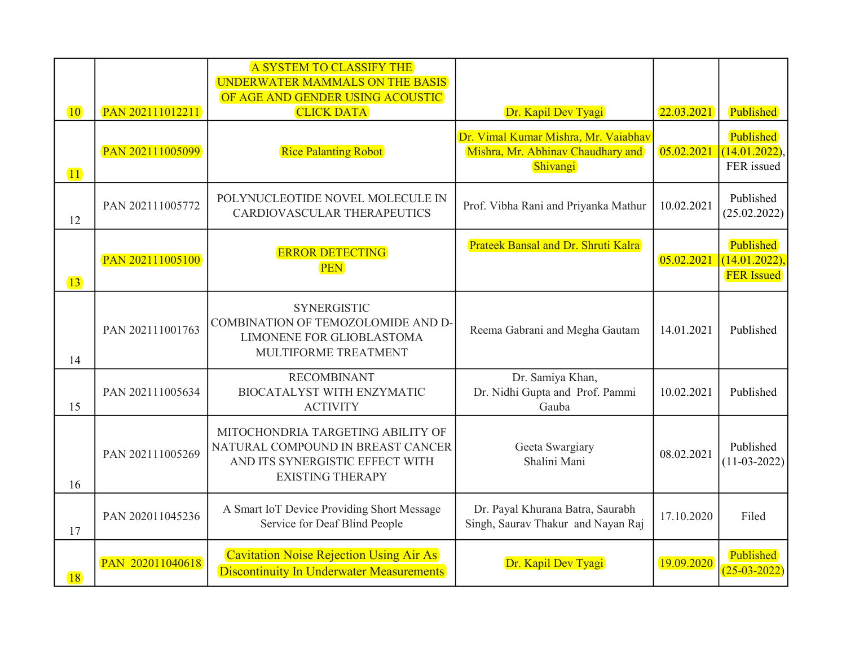|                 |                  | A SYSTEM TO CLASSIFY THE<br>UNDERWATER MAMMALS ON THE BASIS<br>OF AGE AND GENDER USING ACOUSTIC                                      |                                                                                       |            |                                                |
|-----------------|------------------|--------------------------------------------------------------------------------------------------------------------------------------|---------------------------------------------------------------------------------------|------------|------------------------------------------------|
| $ 10\rangle$    | PAN 202111012211 | <b>CLICK DATA</b>                                                                                                                    | Dr. Kapil Dev Tyagi                                                                   | 22.03.2021 | Published                                      |
| $\overline{11}$ | PAN 202111005099 | <b>Rice Palanting Robot</b>                                                                                                          | Dr. Vimal Kumar Mishra, Mr. Vaiabhav<br>Mishra, Mr. Abhinav Chaudhary and<br>Shivangi | 05.02.2021 | Published<br>(14.01.2022),<br>FER issued       |
| 12              | PAN 202111005772 | POLYNUCLEOTIDE NOVEL MOLECULE IN<br>CARDIOVASCULAR THERAPEUTICS                                                                      | Prof. Vibha Rani and Priyanka Mathur                                                  | 10.02.2021 | Published<br>(25.02.2022)                      |
| $\boxed{13}$    | PAN 202111005100 | <b>ERROR DETECTING</b><br><b>PEN</b>                                                                                                 | Prateek Bansal and Dr. Shruti Kalra                                                   | 05.02.2021 | Published<br>(14.01.2022)<br><b>FER</b> Issued |
| 14              | PAN 202111001763 | <b>SYNERGISTIC</b><br>COMBINATION OF TEMOZOLOMIDE AND D-<br>LIMONENE FOR GLIOBLASTOMA<br>MULTIFORME TREATMENT                        | Reema Gabrani and Megha Gautam                                                        | 14.01.2021 | Published                                      |
| 15              | PAN 202111005634 | <b>RECOMBINANT</b><br><b>BIOCATALYST WITH ENZYMATIC</b><br><b>ACTIVITY</b>                                                           | Dr. Samiya Khan,<br>Dr. Nidhi Gupta and Prof. Pammi<br>Gauba                          | 10.02.2021 | Published                                      |
| 16              | PAN 202111005269 | MITOCHONDRIA TARGETING ABILITY OF<br>NATURAL COMPOUND IN BREAST CANCER<br>AND ITS SYNERGISTIC EFFECT WITH<br><b>EXISTING THERAPY</b> | Geeta Swargiary<br>Shalini Mani                                                       | 08.02.2021 | Published<br>$(11-03-2022)$                    |
| 17              | PAN 202011045236 | A Smart IoT Device Providing Short Message<br>Service for Deaf Blind People                                                          | Dr. Payal Khurana Batra, Saurabh<br>Singh, Saurav Thakur and Nayan Raj                | 17.10.2020 | Filed                                          |
| <b>18</b>       | PAN 202011040618 | Cavitation Noise Rejection Using Air As<br><b>Discontinuity In Underwater Measurements</b>                                           | Dr. Kapil Dev Tyagi                                                                   | 19.09.2020 | Published<br>$(25-03-2022)$                    |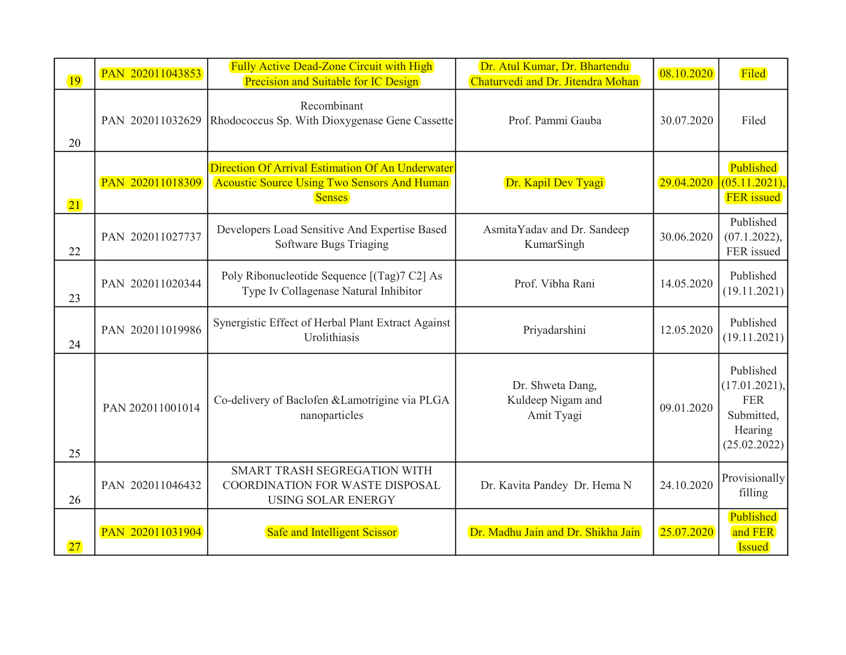| <b>19</b>    | PAN 202011043853 | <b>Fully Active Dead-Zone Circuit with High</b><br>Precision and Suitable for IC Design                                 | Dr. Atul Kumar, Dr. Bhartendu<br>Chaturvedi and Dr. Jitendra Mohan | 08.10.2020 | Filed                                                                             |
|--------------|------------------|-------------------------------------------------------------------------------------------------------------------------|--------------------------------------------------------------------|------------|-----------------------------------------------------------------------------------|
| 20           | PAN 202011032629 | Recombinant<br>Rhodococcus Sp. With Dioxygenase Gene Cassette                                                           | Prof. Pammi Gauba                                                  | 30.07.2020 | Filed                                                                             |
| $\boxed{21}$ | PAN 202011018309 | Direction Of Arrival Estimation Of An Underwater<br><b>Acoustic Source Using Two Sensors And Human</b><br><b>Senses</b> | Dr. Kapil Dev Tyagi                                                | 29.04.2020 | Published<br>(05.11.2021)<br><b>FER</b> issued                                    |
| 22           | PAN 202011027737 | Developers Load Sensitive And Expertise Based<br>Software Bugs Triaging                                                 | AsmitaYadav and Dr. Sandeep<br>KumarSingh                          | 30.06.2020 | Published<br>(07.1.2022),<br>FER issued                                           |
| 23           | PAN 202011020344 | Poly Ribonucleotide Sequence [(Tag)7 C2] As<br>Type Iv Collagenase Natural Inhibitor                                    | Prof. Vibha Rani                                                   | 14.05.2020 | Published<br>(19.11.2021)                                                         |
| 24           | PAN 202011019986 | Synergistic Effect of Herbal Plant Extract Against<br>Urolithiasis                                                      | Priyadarshini                                                      | 12.05.2020 | Published<br>(19.11.2021)                                                         |
| 25           | PAN 202011001014 | Co-delivery of Baclofen & Lamotrigine via PLGA<br>nanoparticles                                                         | Dr. Shweta Dang,<br>Kuldeep Nigam and<br>Amit Tyagi                | 09.01.2020 | Published<br>(17.01.2021),<br><b>FER</b><br>Submitted,<br>Hearing<br>(25.02.2022) |
| 26           | PAN 202011046432 | SMART TRASH SEGREGATION WITH<br>COORDINATION FOR WASTE DISPOSAL<br><b>USING SOLAR ENERGY</b>                            | Dr. Kavita Pandey Dr. Hema N                                       | 24.10.2020 | Provisionally<br>filling                                                          |
| 27           | PAN 202011031904 | <b>Safe and Intelligent Scissor</b>                                                                                     | Dr. Madhu Jain and Dr. Shikha Jain                                 | 25.07.2020 | Published<br>and FER<br><b>Issued</b>                                             |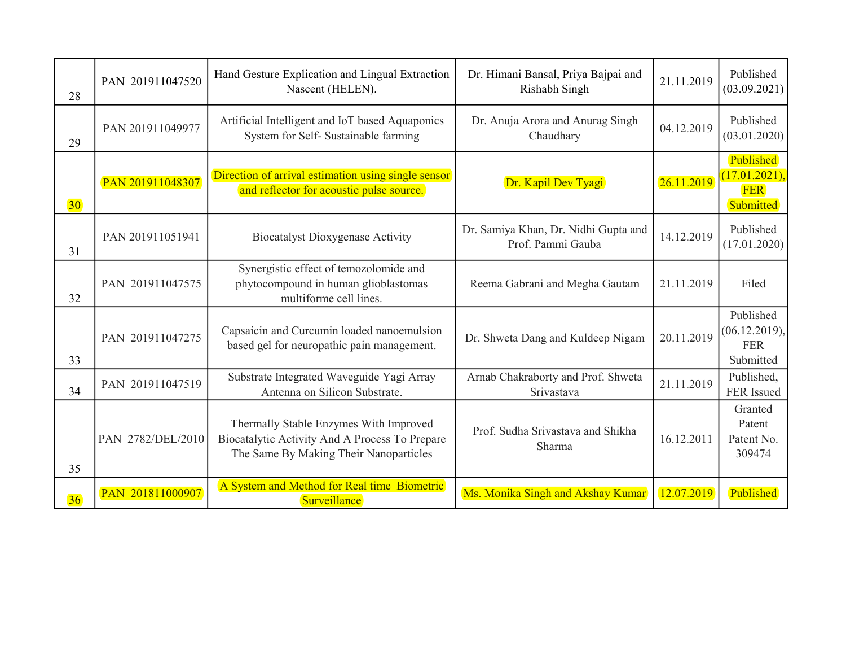| 28              | PAN 201911047520  | Hand Gesture Explication and Lingual Extraction<br>Nascent (HELEN).                                                                | Dr. Himani Bansal, Priya Bajpai and<br>Rishabh Singh      | 21.11.2019 | Published<br>(03.09.2021)                             |
|-----------------|-------------------|------------------------------------------------------------------------------------------------------------------------------------|-----------------------------------------------------------|------------|-------------------------------------------------------|
| 29              | PAN 201911049977  | Artificial Intelligent and IoT based Aquaponics<br>System for Self- Sustainable farming                                            | Dr. Anuja Arora and Anurag Singh<br>Chaudhary             | 04.12.2019 | Published<br>(03.01.2020)                             |
| 30 <sup>°</sup> | PAN 201911048307  | Direction of arrival estimation using single sensor<br>and reflector for acoustic pulse source.                                    | Dr. Kapil Dev Tyagi                                       | 26.11.2019 | Published<br>(17.01.2021)<br><b>FER</b><br>Submitted  |
| 31              | PAN 201911051941  | <b>Biocatalyst Dioxygenase Activity</b>                                                                                            | Dr. Samiya Khan, Dr. Nidhi Gupta and<br>Prof. Pammi Gauba | 14.12.2019 | Published<br>(17.01.2020)                             |
| 32              | PAN 201911047575  | Synergistic effect of temozolomide and<br>phytocompound in human glioblastomas<br>multiforme cell lines.                           | Reema Gabrani and Megha Gautam                            | 21.11.2019 | Filed                                                 |
| 33              | PAN 201911047275  | Capsaicin and Curcumin loaded nanoemulsion<br>based gel for neuropathic pain management.                                           | Dr. Shweta Dang and Kuldeep Nigam                         | 20.11.2019 | Published<br>(06.12.2019),<br><b>FER</b><br>Submitted |
| 34              | PAN 201911047519  | Substrate Integrated Waveguide Yagi Array<br>Antenna on Silicon Substrate.                                                         | Arnab Chakraborty and Prof. Shweta<br>Srivastava          | 21.11.2019 | Published,<br>FER Issued                              |
| 35              | PAN 2782/DEL/2010 | Thermally Stable Enzymes With Improved<br>Biocatalytic Activity And A Process To Prepare<br>The Same By Making Their Nanoparticles | Prof. Sudha Srivastava and Shikha<br>Sharma               | 16.12.2011 | Granted<br>Patent<br>Patent No.<br>309474             |
| 36              | PAN 201811000907  | A System and Method for Real time Biometric<br>Surveillance                                                                        | Ms. Monika Singh and Akshay Kumar                         | 12.07.2019 | Published                                             |